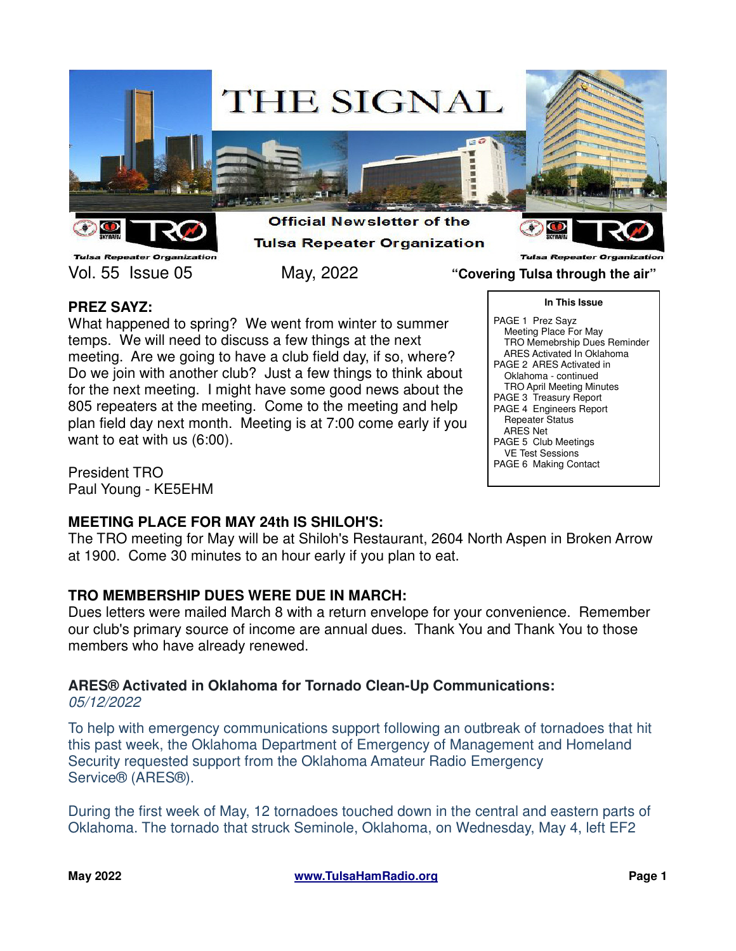

**Tulsa Repeater Organization** Vol. 55 Issue 05 May, 2022 **"Covering Tulsa through the air"**

**Tulsa Repeater Organiz** 

# **PREZ SAYZ:**

What happened to spring? We went from winter to summer temps. We will need to discuss a few things at the next meeting. Are we going to have a club field day, if so, where? Do we join with another club? Just a few things to think about for the next meeting. I might have some good news about the 805 repeaters at the meeting. Come to the meeting and help plan field day next month. Meeting is at 7:00 come early if you want to eat with us (6:00).

President TRO Paul Young - KE5EHM

## **MEETING PLACE FOR MAY 24th IS SHILOH'S:**

The TRO meeting for May will be at Shiloh's Restaurant, 2604 North Aspen in Broken Arrow at 1900. Come 30 minutes to an hour early if you plan to eat.

## **TRO MEMBERSHIP DUES WERE DUE IN MARCH:**

Dues letters were mailed March 8 with a return envelope for your convenience. Remember our club's primary source of income are annual dues. Thank You and Thank You to those members who have already renewed.

## **ARES® Activated in Oklahoma for Tornado Clean-Up Communications:**

05/12/2022

To help with emergency communications support following an outbreak of tornadoes that hit this past week, the Oklahoma Department of Emergency of Management and Homeland Security requested support from the Oklahoma Amateur Radio Emergency Service® (ARES®).

During the first week of May, 12 tornadoes touched down in the central and eastern parts of Oklahoma. The tornado that struck Seminole, Oklahoma, on Wednesday, May 4, left EF2

**In This Issue** PAGE 1 Prez Sayz Meeting Place For May TRO Memebrship Dues Reminder ARES Activated In Oklahoma PAGE 2 ARES Activated in Oklahoma - continued TRO April Meeting Minutes PAGE 3 Treasury Report PAGE 4 Engineers Report Repeater Status ARES Net PAGE 5 Club Meetings VE Test Sessions PAGE 6 Making Contact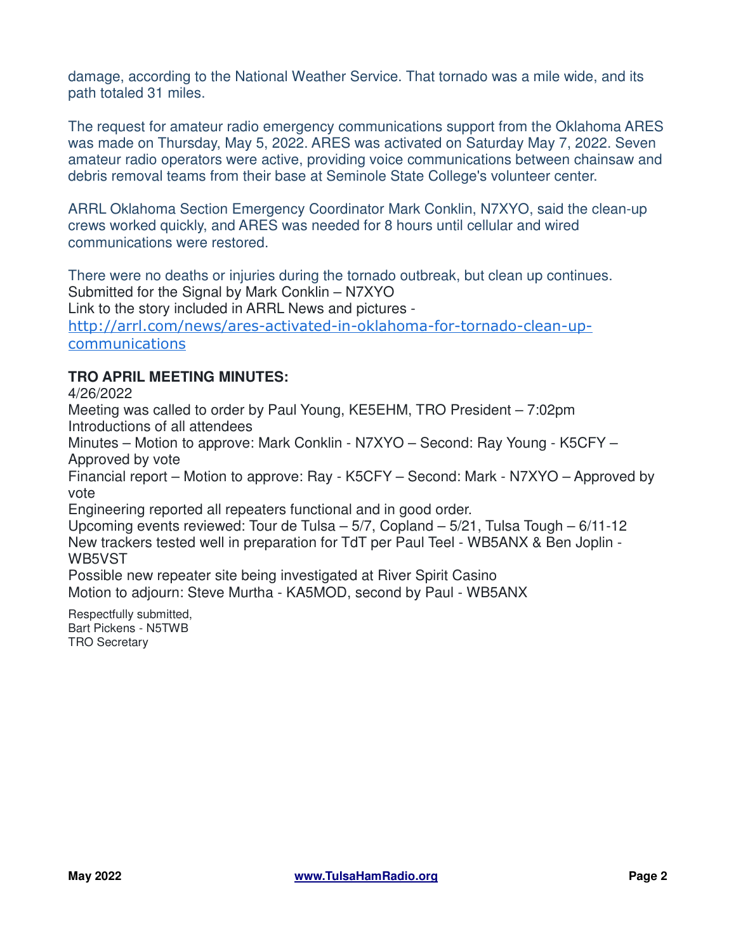damage, according to the National Weather Service. That tornado was a mile wide, and its path totaled 31 miles.

The request for amateur radio emergency communications support from the Oklahoma ARES was made on Thursday, May 5, 2022. ARES was activated on Saturday May 7, 2022. Seven amateur radio operators were active, providing voice communications between chainsaw and debris removal teams from their base at Seminole State College's volunteer center.

ARRL Oklahoma Section Emergency Coordinator Mark Conklin, N7XYO, said the clean-up crews worked quickly, and ARES was needed for 8 hours until cellular and wired communications were restored.

There were no deaths or injuries during the tornado outbreak, but clean up continues. Submitted for the Signal by Mark Conklin – N7XYO

Link to the story included in ARRL News and pictures -

http://arrl.com/news/ares-activated-in-oklahoma-for-tornado-clean-upcommunications

## **TRO APRIL MEETING MINUTES:**

4/26/2022

Meeting was called to order by Paul Young, KE5EHM, TRO President – 7:02pm Introductions of all attendees

Minutes – Motion to approve: Mark Conklin - N7XYO – Second: Ray Young - K5CFY – Approved by vote

Financial report – Motion to approve: Ray - K5CFY – Second: Mark - N7XYO – Approved by vote

Engineering reported all repeaters functional and in good order.

Upcoming events reviewed: Tour de Tulsa – 5/7, Copland – 5/21, Tulsa Tough – 6/11-12 New trackers tested well in preparation for TdT per Paul Teel - WB5ANX & Ben Joplin - WB5VST

Possible new repeater site being investigated at River Spirit Casino Motion to adjourn: Steve Murtha - KA5MOD, second by Paul - WB5ANX

Respectfully submitted, Bart Pickens - N5TWB TRO Secretary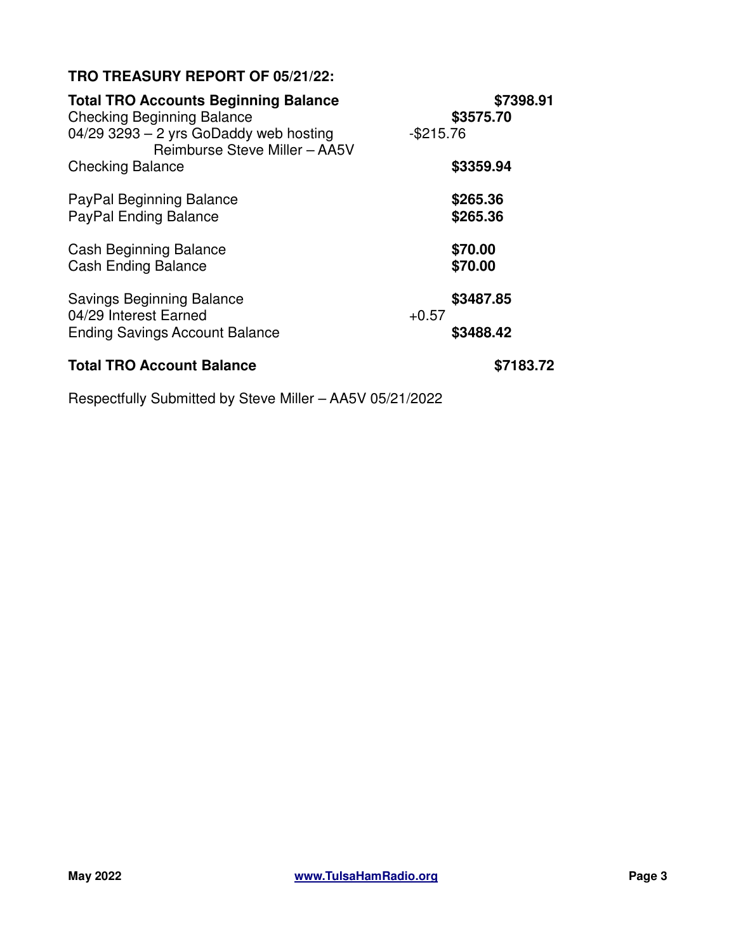# **TRO TREASURY REPORT OF 05/21/22:**

| <b>Total TRO Accounts Beginning Balance</b>                             | \$7398.91    |           |  |
|-------------------------------------------------------------------------|--------------|-----------|--|
| <b>Checking Beginning Balance</b>                                       |              | \$3575.70 |  |
| 04/29 3293 - 2 yrs GoDaddy web hosting<br>Reimburse Steve Miller - AA5V | $-$ \$215.76 |           |  |
| <b>Checking Balance</b>                                                 |              | \$3359.94 |  |
| PayPal Beginning Balance                                                |              | \$265.36  |  |
| <b>PayPal Ending Balance</b>                                            |              | \$265.36  |  |
| <b>Cash Beginning Balance</b>                                           |              | \$70.00   |  |
| <b>Cash Ending Balance</b>                                              |              | \$70.00   |  |
| <b>Savings Beginning Balance</b>                                        |              | \$3487.85 |  |
| 04/29 Interest Earned<br><b>Ending Savings Account Balance</b>          | $+0.57$      | \$3488.42 |  |
|                                                                         |              |           |  |
| <b>Total TRO Account Balance</b>                                        |              | \$7183.72 |  |

Respectfully Submitted by Steve Miller – AA5V 05/21/2022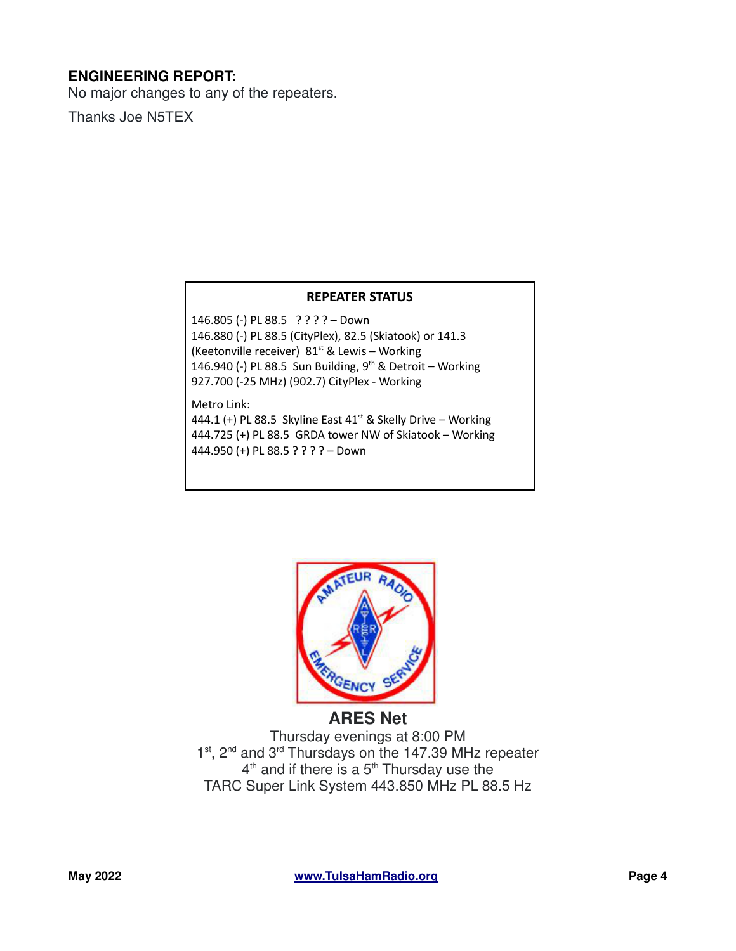## **ENGINEERING REPORT:**

No major changes to any of the repeaters.

Thanks Joe N5TEX

#### **REPEATER STATUS**

146.805 (-) PL 88.5 ? ? ? ? – Down 146.880 (-) PL 88.5 (CityPlex), 82.5 (Skiatook) or 141.3 (Keetonville receiver)  $81<sup>st</sup>$  & Lewis – Working 146.940 (-) PL 88.5 Sun Building, 9<sup>th</sup> & Detroit - Working 927.700 (-25 MHz) (902.7) CityPlex - Working

Metro Link:

444.1 (+) PL 88.5 Skyline East  $41<sup>st</sup>$  & Skelly Drive – Working 444.725 (+) PL 88.5 GRDA tower NW of Skiatook – Working 444.950 (+) PL 88.5 ? ? ? ? – Down



Thursday evenings at 8:00 PM 1<sup>st</sup>, 2<sup>nd</sup> and 3<sup>rd</sup> Thursdays on the 147.39 MHz repeater  $4<sup>th</sup>$  and if there is a  $5<sup>th</sup>$  Thursday use the TARC Super Link System 443.850 MHz PL 88.5 Hz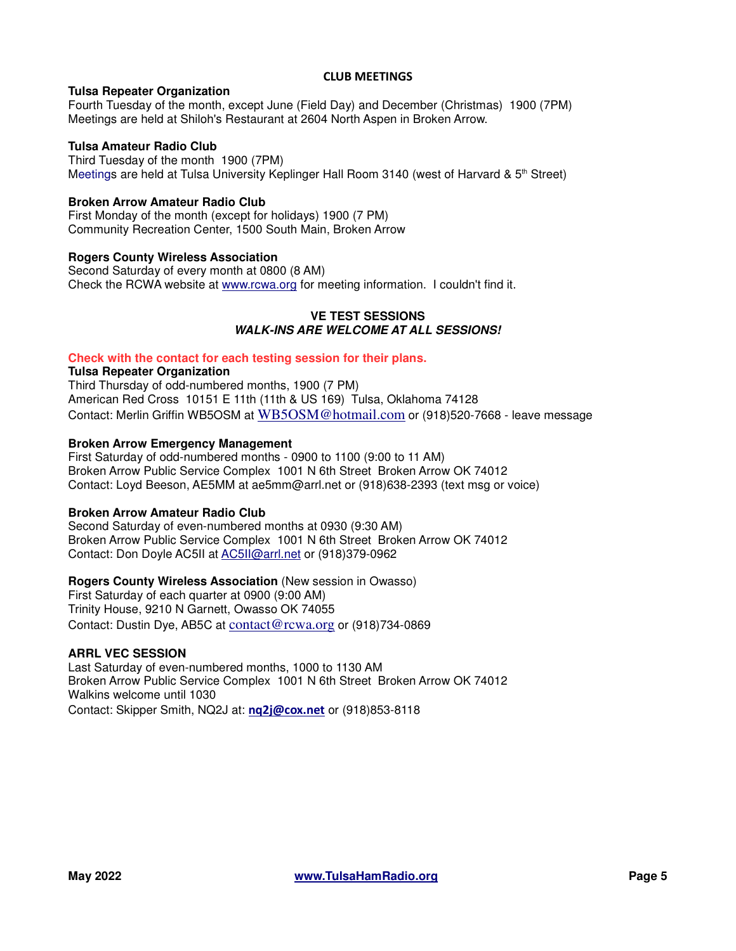#### **CLUB MEETINGS**

#### **Tulsa Repeater Organization**

Fourth Tuesday of the month, except June (Field Day) and December (Christmas) 1900 (7PM) Meetings are held at Shiloh's Restaurant at 2604 North Aspen in Broken Arrow.

#### **Tulsa Amateur Radio Club**

Third Tuesday of the month 1900 (7PM) Meetings are held at Tulsa University Keplinger Hall Room 3140 (west of Harvard &  $5<sup>th</sup>$  Street)

#### **Broken Arrow Amateur Radio Club**

First Monday of the month (except for holidays) 1900 (7 PM) Community Recreation Center, 1500 South Main, Broken Arrow

#### **Rogers County Wireless Association**

Second Saturday of every month at 0800 (8 AM) Check the RCWA website at www.rcwa.org for meeting information. I couldn't find it.

#### **VE TEST SESSIONS WALK-INS ARE WELCOME AT ALL SESSIONS!**

#### **Check with the contact for each testing session for their plans.**

#### **Tulsa Repeater Organization**

Third Thursday of odd-numbered months, 1900 (7 PM) American Red Cross 10151 E 11th (11th & US 169) Tulsa, Oklahoma 74128 Contact: Merlin Griffin WB5OSM at WB5OSM@hotmail.com or (918)520-7668 - leave message

#### **Broken Arrow Emergency Management**

First Saturday of odd-numbered months - 0900 to 1100 (9:00 to 11 AM) Broken Arrow Public Service Complex 1001 N 6th Street Broken Arrow OK 74012 Contact: Loyd Beeson, AE5MM at ae5mm@arrl.net or (918)638-2393 (text msg or voice)

#### **Broken Arrow Amateur Radio Club**

Second Saturday of even-numbered months at 0930 (9:30 AM) Broken Arrow Public Service Complex 1001 N 6th Street Broken Arrow OK 74012 Contact: Don Doyle AC5II at AC5II@arrl.net or (918)379-0962

#### **Rogers County Wireless Association** (New session in Owasso)

First Saturday of each quarter at 0900 (9:00 AM) Trinity House, 9210 N Garnett, Owasso OK 74055 Contact: Dustin Dye, AB5C at contact@rcwa.org or (918)734-0869

#### **ARRL VEC SESSION**

Last Saturday of even-numbered months, 1000 to 1130 AM Broken Arrow Public Service Complex 1001 N 6th Street Broken Arrow OK 74012 Walkins welcome until 1030 Contact: Skipper Smith, NQ2J at: **nq2j@cox.net** or (918)853-8118